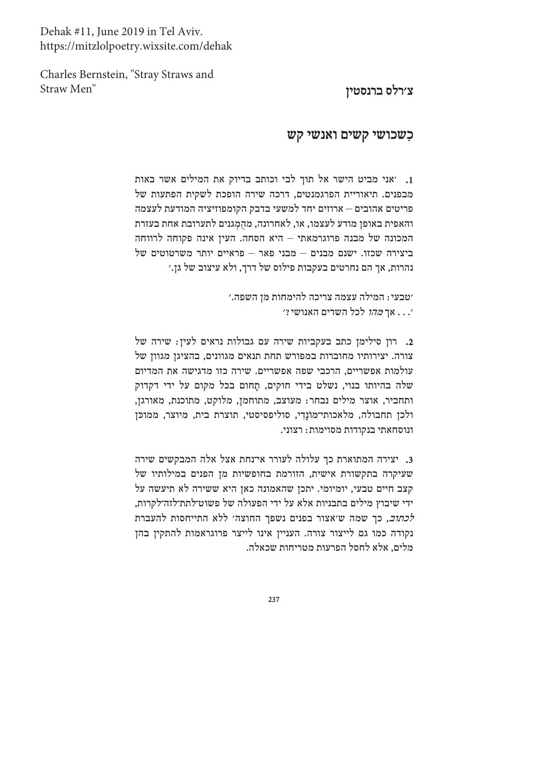Dehak #11, June 2019 in Tel Aviv. https://mitzlolpoetry.wixsite.com/dehak

Charles Bernstein, "Stray Straws and Straw Men"

## צ׳רלס ברנסטין

## כשכושי קשים ואנשי קש

1. אני מביט הישר אל תוך לבי וכותב בדיוק את המילים אשר באות מבפנים. תיאוריית הפרגמנטים, דרכה שירה הופכת לשקית הפתעות של פריטים אהובים – ארוזים יחד למשעי בדבק הקומפוזיציה המודעת לעצמה והאפית באופן מודע לעצמו, או, לאחרונה, מהַמְגנים לתערובת אחת בעזרת המכונה של מבנה פרוגרמאתי – היא הסחה. העיז אינה פקוחה לרווחה ביצירה שכזו. ישנם מבנים – מבני פאר – פראיים יותר משרטוטים של נהרות, אך הם נחרטים בעקבות פילוס של דרך, ולא עיצוב של גן.׳

> ׳טבעי: המילה עצמה צריכה להימחות מן השפה.׳ י. . . אך *מהו* לכל השדים האנושי *?*'

. רון סילימן כתב בעקביות שירה עם גבולות נראים לעין: שירה של צורה. יצירותיו מחוברות במפורש תחת תנאים מגוונים, בהציגן מגוון של עולמות אפשריים, הרכבי שפה אפשריים. שירה כזו מדגישה את המדיום שלה בהיותו בנוי, נשלט בידי חוקים, תָחום בכל מקום על ידי דקדוק ותחביר, אוצר מילים נבחר: מעוצב, מתוחמן, מלוקט, מתוכנת, מאורגן, ולכן תחבולה, מלאכותי־מוֹנדי, סוליפסיסטי, תוצרת בית, מיוצר, ממוכן ונוסחאתי בנקודות מסוימות: רצוני.

3. יצירה המתוארת כך עלולה לעורר אי־נחת אצל אלה המבקשים שירה שעיקרה בתקשורת אישית, הזורמת בחופשיות מן הפנים במילותיו של קצב חיים טבעי, יומיומי. יתכן שהאמונה כאן היא ששירה לא תיעשה על ידי שיבוץ מילים בתבניות אלא על ידי הפעולה של פשוט־לתת־לזה־לקרות, *לכתוב*, כך שמה ש'אצור בפנים נשפך החוצה' ללא התייחסות להעברת נקודה כמו גם לייצור צורה. העניין אינו לייצר פרוגראמות להתקין בהן מלים, אלא לחסל הפרעות מטריחות שכאלה.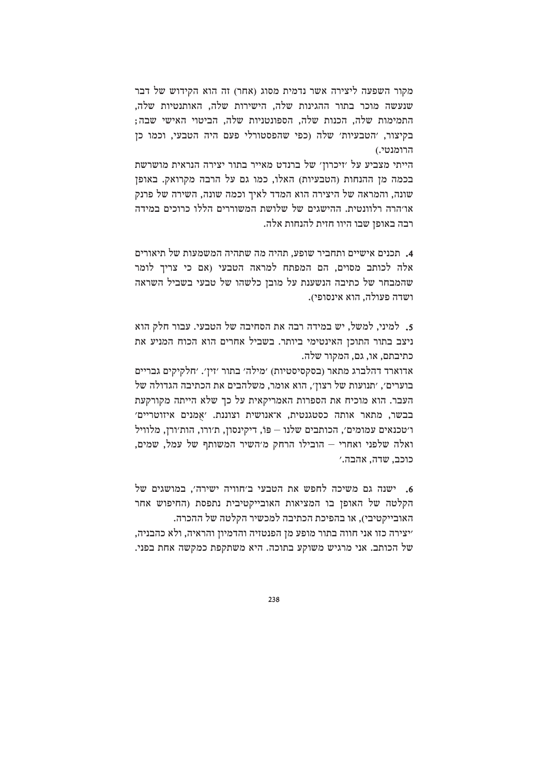מקור השפעה ליצירה אשר נדמית מסוג (אחר) זה הוא הקידוש של דבר שנעשה מוכר בתור ההגינות שלה. הישירות שלה. האותנטיות שלה. התמימות שלה, הכנות שלה, הספונטניות שלה, הביטוי האישי שבה; בקיצור, ׳הטבעיות׳ שלה (כפי שהפסטורלי פעם היה הטבעי, וכמו כן הרומנטי.)

הייתי מצביע על ׳זיכרון׳ של ברנדט מאייר בתור יצירה הנראית מושרשת בכמה מן ההנחות (הטבעיות) האלו, כמו גם על הרבה מקרואק. באופן שונה. והמראה של היצירה הוא המדד לאיך וכמה שונה, השירה של פרנק או׳הרה רלוונטית. ההישגים של שלושת המשוררים הללו כרוכים במידה רבה באופן שבו היוו חזית להנחות אלה.

4. תכנים אישיים ותחביר שופע, תהיה מה שתהיה המשמעות של תיאורים אלה לכותב מסוים, הם המפתח למראה הטבעי (אם כי צריך לומר שהמבחר של כתיבה הנשענת על מובן כלשהו של טבעי בשביל השראה ושדה פעולה, הוא אינסופי).

5. למיני, למשל, יש במידה רבה את הסחיבה של הטבעי. עבור חלק הוא ניצב בתור התוכן האינטימי ביותר. בשביל אחרים הוא הכוח המניע את כתיבתם, או, גם, המקור שלה.

אדוארד דהלברג מתאר (בסקסיסטיות) ׳מילה׳ בתור ׳זין׳. ׳חלקיקים גבריים בוערים׳, ׳תנועות של רצון׳, הוא אומר, משלהבים את הכתיבה הגדולה של העבר. הוא מוכיח את הספרות האמריקאית על כך שלא הייתה מקורקעת בבשר, מתאר אותה כסטגנטית, א־אנושית וצוננת. ׳אמנים איזוטריים׳ ו׳טכנאים עמומים׳, הכותבים שלנו – פּוֹ, דיקינסון, ת׳ורו, הות׳ורן, מלוויל ואלה שלפני ואחרי – הובילו הרחק מ׳השיר המשותף של עמל, שמים, כוכב. שדה, אהבה.׳

6. ישנה גם משיכה לחפש את הטבעי ב׳חוויה ישירה׳, במושגים של הקלטה של האופן בו המציאות האובייקטיבית נתפסת (החיפוש אחר האובייקטיבי), או בהפיכת הכתיבה למכשיר הקלטה של ההכרה. ׳יצירה כזו אני חווה בתור מופע מן הפנטזיה והדמיון והראיה, ולא כהבניה, של הכותב. אני מרגיש משוקע בתוכה. היא משתקפת כמקשה אחת בפני.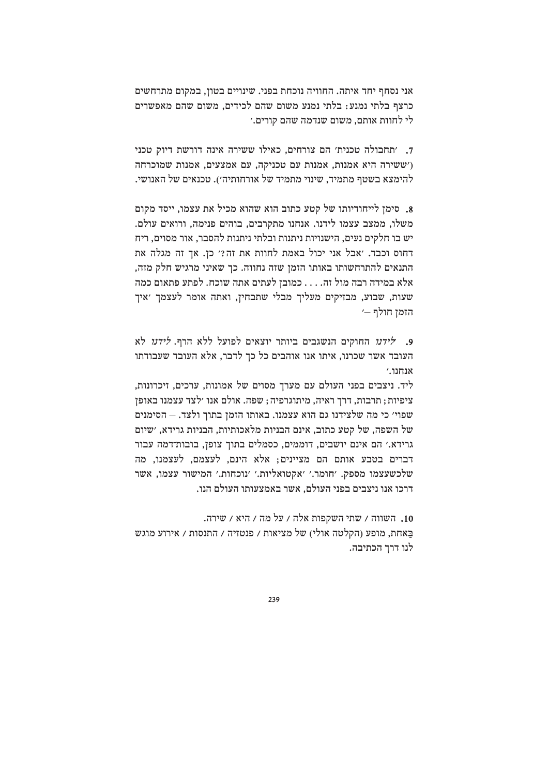אני נסחף יחד איתה. החוויה נוכחת בפני. שינויים בטון, במקום מתרחשים כרצף בלתי נמנע: בלתי נמנע משום שהם לכידים. משום שהם מאפשרים לי לחוות אותם, משום שנדמה שהם קורים.׳

7. ׳תחבולה טכנית׳ הם צורחים. כאילו ששירה אינה דורשת דיוק טכני ('ששירה היא אמנות, אמנות עם טכניקה, עם אמצעים, אמנות שמוכרחה להימצא בשטף מתמיד, שינוי מתמיד של אורחותיה׳). טכנאים של האנושי.

8. סימן לייחודיותו של קטע כתוב הוא שהוא מכיל את עצמו, ייסד מקום משלו, ממצב עצמו לידנו. אנחנו מתקרבים, בוהים פנימה, ורואים עולם. יש בו חלקים נעים. הישנויות ניתנות ובלתי ניתנות להסבר. אור מסוים. ריח דחוס וכבד. 'אבל אני יכול באמת לחוות את זה?' כן. אך זה מגלה את התנאים להתרחשותו באותו הזמן שזה נחווה. כך שאיני מרגיש חלק מזה, אלא במידה רבה מול זה. . . . כמובן לעתים אתה שוכח. לפתע פתאום כמה שעות, שבוע, מבזיקים מעליך מבלי שתבחין, ואתה אומר לעצמך ׳איך הזמן חולף —׳

9. לידנו החוקים הנשגבים ביותר יוצאים לפועל ללא הרף. לידנו לא העובד אשר שכרנו, איתו אנו אוהבים כל כך לדבר, אלא העובד שעבודתו  $^{\prime}$ אוחור

ליד. ניצבים בפני העולם עם מערך מסוים של אמונות, ערכים, זיכרונות, ציפיות; תרבות, דרך ראיה, מיתוגרפיה; שפה. אולם אנו ׳לצד עצמנו באופן שפוי׳ כי מה שלצידנו גם הוא עצמנו. באותו הזמן בתוך ולצד. – הסימנים של השפה, של קטע כתוב, אינם הבניות מלאכותיות, הבניות גרידא, ׳שיום גרידא.׳ הם אינם יושבים, דוממים, כסמלים בתוך צופן, בובות־דמה עבור דברים בטבע אותם הם מציינים: אלא הינם. לעצמם. לעצמנו. מה שלכשעצמו מספק. 'חומר.' 'אקטואליות.' 'נוכחות.' המישור עצמו, אשר דרכו אנו ניצבים בפני העולם. אשר באמצעותו העולם הנו.

10. השווה / שתי השקפות אלה / על מה / היא / שירה. באחת, מופע (הקלטה אולי) של מציאות / פנטזיה / התנסות / אירוע מוגש לנו דרד הכתיבה.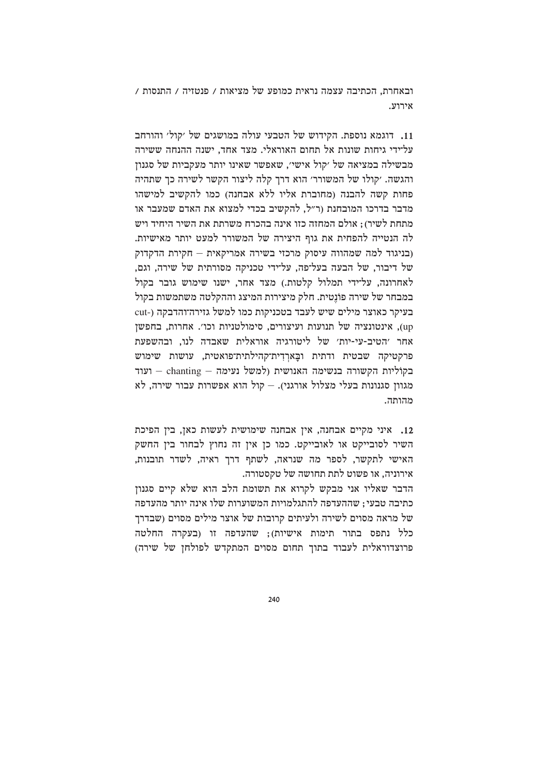ובאחרת. הכתיבה עצמה נראית כמופע של מציאות / פנטזיה / התנסות / אירוע.

11. דוגמא נוספת. הקידוש של הטבעי עולה במושגים של 'קול' והורחב עליידי גיחות שונות אל תחום האוראלי. מצד אחד. ישנה ההנחה ששירה מבשילה במציאה של ׳קול אישי׳, שאפשר שאינו יותר מעקביות של סגנון והגשה. ׳קולו של המשורר׳ הוא דרך קלה ליצור הקשר לשירה כך שתהיה פחות קשה להבנה (מחוברת אליו ללא אבחנה) כמו להקשיב למישהו מדבר בדרכו המובחנת (ר״ל. להקשיב בכדי למצוא את האדם שמעבר או מתחת לשיר); אולם המחזה כזו אינה בהכרח משרתת את השיר היחיד ויש לה הנטייה להפחית את גוף היצירה של המשורר למעט יותר מאישיות. (בניגוד למה שמהווה עיסוק מרכזי בשירה אמריקאית – חקירת הדקדוק של דיבור, של הבעה בעל־פה, על־ידי טכניקה מסורתית של שירה, וגם, לאחרונה, על־ידי תמלול קלטות.) מצד אחר, ישנו שימוש גובר בקול במבחר של שירה פונטית. חלק מיצירות המיצג וההקלטה משתמשות בקול בעיקר כאוצר מילים שיש לעבד בטכניקות כמו למשל גזירה־והדבקה (-cut up), אינטונציה של תנועות ועיצורים, סימולטניות וכו׳. אחרות, בחפשן אחר 'הטיב-עי-יות' של ליטורגיה אוראלית שאבדה לנו, ובהשפעת פרקטיקה שבטית ודתית ובַארִדִית־קהילתית־פואטית, עושות שימוש ועוד – chanting – בקוליות הקשורה בנשימה האנושית (למשל נעימה מגוון סגנונות בעלי מצלול אורגני). – קול הוא אפשרות עבור שירה, לא מהותה.

12. איני מקיים אבחנה, אין אבחנה שימושית לעשות כאן, בין הפיכת השיר לסובייקט או לאובייקט. כמו כן אין זה נחוץ לבחור בין החשק האישי לתקשר. לספר מה שנראה. לשתף דרד ראיה. לשדר תובנות. אירוניה, או פשוט לתת תחושה של טקסטורה.

הדבר שאליו אני מבקש לקרוא את תשומת הלב הוא שלא קיים סגנון כתיבה טבעי: שההעדפה להתגלמויות המשוערות שלו אינה יותר מהעדפה של מראה מסוים לשירה ולעיתים קרובות של אוצר מילים מסוים (שבדרך כלל נתפס בתור תימות אישיות); שהעדפה זו (בעקרה החלטה פרוצדוראלית לעבוד בתוך תחום מסוים המתקדש לפולחן של שירה)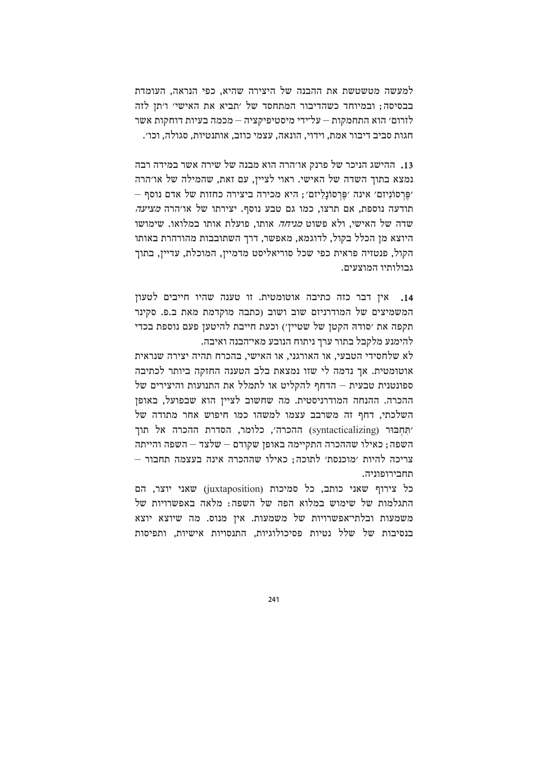למעשה מטשטשת את ההבנה של היצירה שהיא, כפי הנראה, העומדת בבסיסה; ובמיוחד כשהדיבור המתחסד של 'תביא את האישי' ו'תן לזה לזרום׳ הוא התחמקות — על־ידי מיסטיפיקציה — מכמה בעיות דוחקות אשר חגות סביב דיבור אמת, וידוי, הונאה, עצמי כוזב, אותנטיות, סגולה, וכו׳.

13. ההישג הניכר של פרנק או׳הרה הוא מבנה של שירה אשר במידה רבה נמצא בתוך השדה של האישי. ראוי לציין, עם זאת, שהמילה של או׳הרה יִפֵּרְסוֹנִיזם׳ אינה ׳פֵּרְסוֹנַלְיזם׳; היא מכירה ביצירה כחזות של אדם נוסף – תודעה נוספת. אם תרצו. כמו גם טבע נוסף. יצירתו של או׳הרה *מציעה* שדה של האישי, ולא פשוט *מניחה* אותו, פועלת אותו במלואו. שימושו היוצא מז הכלל בקול. לדוגמא. מאפשר. דרד השתובבות מהורהרת באותו הקול, פנטזיה פראית כפי שכל סוריאליסט מדמיין, המוכלת, עדיין, בתוך גבולותיו המוצעים.

14, אין דבר כזה כתיבה אוטומטית. זו טענה שהיו חייבים לטעון המשמיצים של המודרניזם שוב ושוב (כתבה מוקדמת מאת ב.פ. סקינר תקפה את ׳סודהּ הקטן של שטיין׳) וכעת חייבת להיטען פעם נוספת בכדי להימנע מלקבל בתור ערך ניתוח הנובע מאי־הבנה ואיבה.

לא שלחסידי הטבעי, או האורגני, או האישי, בהכרח תהיה יצירה שנראית אוטומטית. אך נדמה לי שזו נמצאת בלב הטענה החזקה ביותר לכתיבה ספונטנית טבעית – הדחף להקליט או לתמלל את התנועות והיצירים של ההכרה. ההנחה המודרניסטית. מה שחשוב לצייז הוא שבפועל. באופז השלכתי, דחף זה משרבב עצמו למשהו כמו חיפוש אחר מתודה של 'תּחִבּוּר (syntacticalizing) ההכרה׳, כלומר, הסדרת ההכרה אל תוך השפה; כאילו שההכרה התקיימה באופן שקודם – שלצד – השפה והייתה צריכה להיות 'מוכנסת' לתוכה: כאילו שההכרה אינה בעצמה תחבור – תחבירופוניה.

כל צירוף שאני כותב, כל סמיכות (juxtaposition) שאני יוצר, הם התגלמות של שימוש במלוא הפה של השפה: מלאה באפשרויות של משמעות ובלתי־אפשרויות של משמעות. אין מנוס. מה שיוצא יוצא בנסיבות של שלל נטיות פסיכולוגיות, התנסויות אישיות, ותפיסות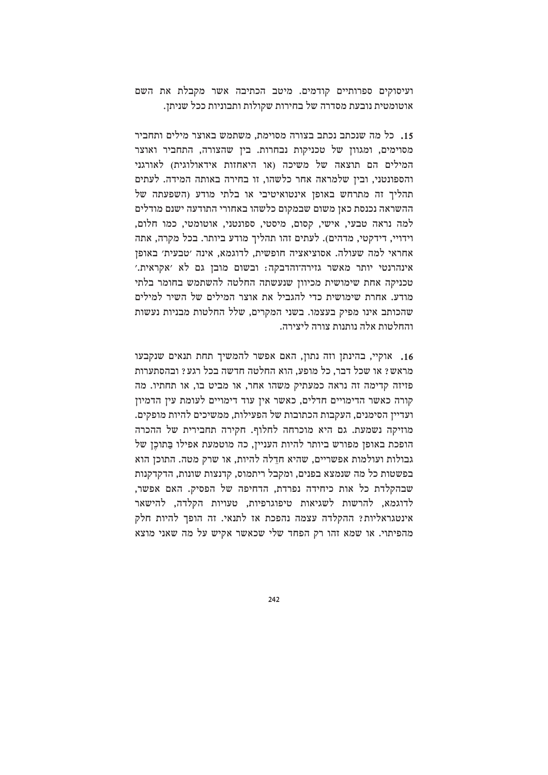ועיסוקים ספרותיים קודמים. מיטב הכתיבה אשר מקבלת את השם אוטומטית נובעת מסדרה של בחירות שקולות ותבוניות ככל שניתן.

15. כל מה שנכתב נכתב בצורה מסוימת, משתמש באוצר מילים ותחביר מסוימים, ומגוון של טכניקות נבחרות. בין שהצורה, התחביר ואוצר המילים הם תוצאה של משיכה (או היאחזות אידאולוגית) לאורגני והספונטני, ובין שלמראה אחר כלשהו, זו בחירה באותה המידה. לעתים תהליך זה מתרחש באופן אינטואיטיבי או בלתי מודע (השפעתה של ההשראה נכנסת כאן משום שבמקום כלשהו באחורי התודעה ישנם מודלים למה נראה טבעי, אישי, קסום, מיסטי, ספונטני, אוטומטי, כמו חלום, וידויי. דידקטי, מדהים). לעתים זהו תהליך מודע ביותר. בכל מקרה, אתה אחראי למה שעולה. אסוציאציה חופשית, לדוגמא, אינה 'טבעית' באופן אינהרנטי יותר מאשר גזירה־והדבקה: ובשום מובן גם לא 'אקראית.' טכניקה אחת שימושית מכיוון שנעשתה החלטה להשתמש בחומר בלתי מודע. אחרת שימושית כדי להגביל את אוצר המילים של השיר למילים שהכותב אינו מפיק בעצמו. בשני המקרים, שלל החלטות מבניות נעשות והחלטות אלה וותוות צורה ליצירה.

16. אוקיי, בהינתן וזה נתון, האם אפשר להמשיך תחת תנאים שנקבעו מראש? או שכל דבר. כל מופע. הוא החלטה חדשה בכל רגע? ובהסתערות פזיזה קדימה זה נראה כמעתיק משהו אחר, או מביט בו, או תחתיו. מה קורה כאשר הדימויים חדלים, כאשר אין עוד דימויים לעומת עין הדמיון ועדיין הסימנים, העקבות הכתובות של הפעילות, ממשיכים להיות מופקים. מוזיקה נשמעת. גם היא מוכרחה לחלוף. חקירה תחבירית של ההכרה הופכת באופן מפורש ביותר להיות העניין, כה מוטמעת אפילו בַּתוֹכֵן של גבולות ועולמות אפשריים. שהיא חדלה להיות. או שרק מטה. התוכז הוא בפשטות כל מה שנמצא בפנים, ומקבל ריתמוס, קדנצות שונות, הדקדקנות שבהקלדת כל אות כיחידה נפרדת, הדחיפה של הפסיק. האם אפשר, לדוגמא, להרשות לשגיאות טיפוגרפיות, טעויות הקלדה, להישאר אינטגראליות? ההקלדה עצמה נהפכת אז לתנאי. זה הופך להיות חלק מהפיתוי. או שמא זהו רק הפחד שלי שכאשר אקיש על מה שאני מוצא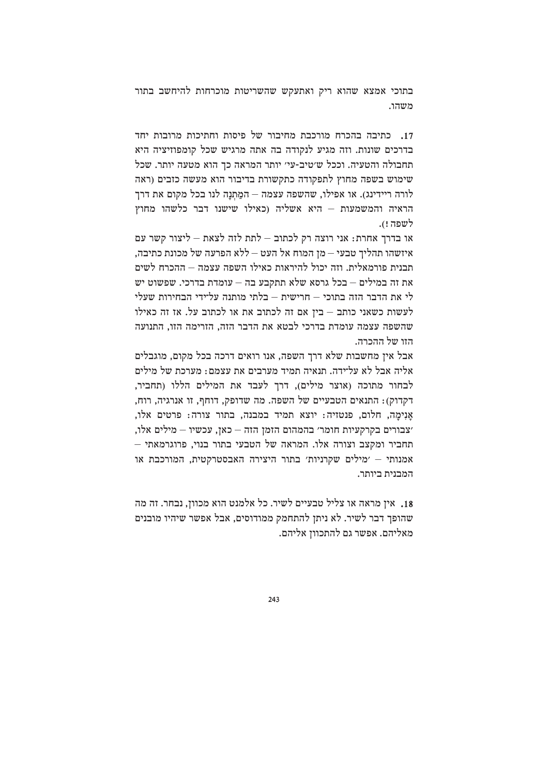בתוכי אמצא שהוא ריק ואתעקש שהשריטות מוכרחות להיחשב בתור משהו.

17. כתיבה בהכרח מורכבת מחיבור של פיסות וחתיכות מרובות יחד בדרכים שונות. וזה מגיע לנקודה בה אתה מרגיש שכל קומפוזיציה היא תחבולה והטעיה. וככל ש׳טיב-עי׳ יותר המראה כך הוא מטעה יותר. שכל שימוש בשפה מחוץ לתפקודה כתקשורת בדיבור הוא מעשה כזבים (ראה לורה ריידינג). או אפילו, שהשפה עצמה – המַתְנַה לנו בכל מקום את דרך הראיה והמשמעות – היא אשליה (כאילו שישנו דבר כלשהו מחוץ לשפה !).

או בדרד אחרת: אני רוצה רק לכתוב – לתת לזה לצאת – ליצור קשר עם איזשהו תהליך טבעי — מן המוח אל העט — ללא הפרעה של מכונת כתיבה, תבנית פורמאלית. וזה יכול להיראות כאילו השפה עצמה – ההכרח לשים את זה במילים – בכל גרסא שלא תתקבע בה – עומדת בדרכי. שפשוט יש לי את הדבר הזה בתוכי – חרישית – בלתי מותנה על־ידי הבחירות שעלי לעשות כשאני כותב – בין אם זה לכתוב את או לכתוב על. אז זה כאילו שהשפה עצמה עומדת בדרכי לבטא את הדבר הזה. הזרימה הזו. התנועה הזו של ההכרה.

אבל אין מחשבות שלא דרך השפה, אנו רואים דרכה בכל מקום, מוגבלים אליה אבל לא על־ידה. תנאיה תמיד מערבים את עצמם: מערכת של מילים לבחור מתוכה (אוצר מילים), דרך לעבד את המילים הללו (תחביר, דקדוק): התנאים הטבעיים של השפה. מה שדופק, דוחף, זו אנרגיה, רוח, אנימה, חלום, פנטזיה: יוצא תמיד במבנה, בתור צורה: פרטים אלו, ׳צבורים בקרקעיות חומר׳ בהמהום הזמן הזה – כאן, עכשיו – מילים אלו, תחביר ומקצב וצורה אלו. המראה של הטבעי בתור בנוי, פרוגרמאתי אמנותי – 'מילים שקרניות' בתור היצירה האבסטרקטית. המורכבת או המבנית ביותר.

18. איז מראה או צליל טבעיים לשיר. כל אלמנט הוא מכווז. נבחר. זה מה שהופך דבר לשיר. לא ניתן להתחמק ממודוסים, אבל אפשר שיהיו מובנים מאליהם. אפשר גם להתכוון אליהם.